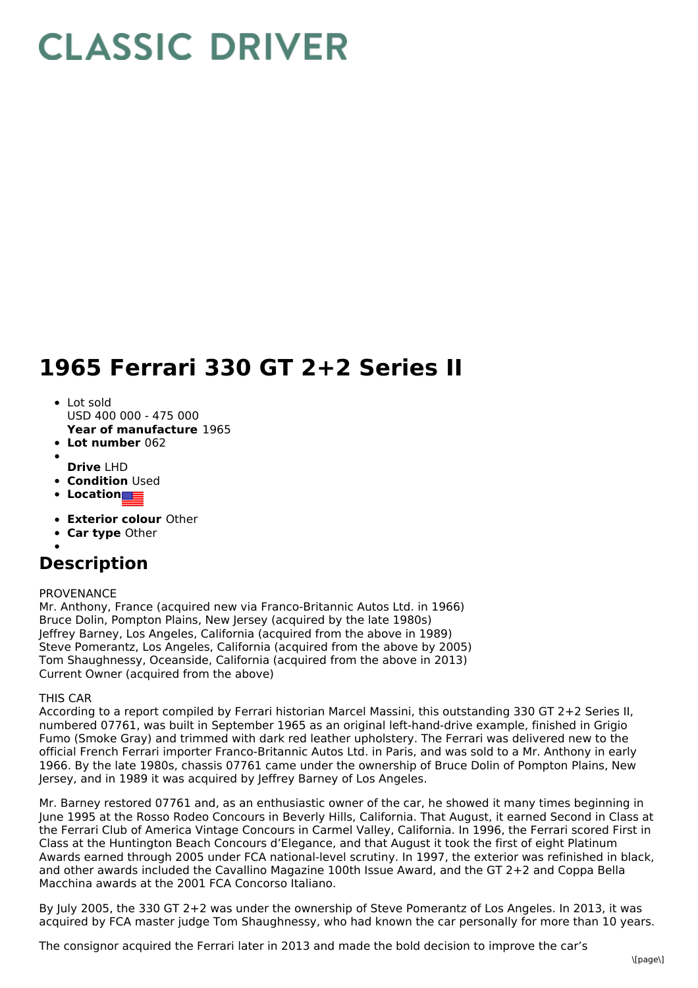## **CLASSIC DRIVER**

## **1965 Ferrari 330 GT 2+2 Series II**

- Lot sold USD 400 000 - 475 000
- **Year of manufacture** 1965
- **Lot number** 062
- **Drive** LHD
- **Condition Used**
- **•** Location
- **Exterior colour** Other
- **Car type** Other
- 

## **Description**

## PROVENANCE

Mr. Anthony, France (acquired new via Franco-Britannic Autos Ltd. in 1966) Bruce Dolin, Pompton Plains, New Jersey (acquired by the late 1980s) Jeffrey Barney, Los Angeles, California (acquired from the above in 1989) Steve Pomerantz, Los Angeles, California (acquired from the above by 2005) Tom Shaughnessy, Oceanside, California (acquired from the above in 2013) Current Owner (acquired from the above)

THIS CAR

According to a report compiled by Ferrari historian Marcel Massini, this outstanding 330 GT 2+2 Series II, numbered 07761, was built in September 1965 as an original left-hand-drive example, finished in Grigio Fumo (Smoke Gray) and trimmed with dark red leather upholstery. The Ferrari was delivered new to the official French Ferrari importer Franco-Britannic Autos Ltd. in Paris, and was sold to a Mr. Anthony in early 1966. By the late 1980s, chassis 07761 came under the ownership of Bruce Dolin of Pompton Plains, New Jersey, and in 1989 it was acquired by Jeffrey Barney of Los Angeles.

Mr. Barney restored 07761 and, as an enthusiastic owner of the car, he showed it many times beginning in June 1995 at the Rosso Rodeo Concours in Beverly Hills, California. That August, it earned Second in Class at the Ferrari Club of America Vintage Concours in Carmel Valley, California. In 1996, the Ferrari scored First in Class at the Huntington Beach Concours d'Elegance, and that August it took the first of eight Platinum Awards earned through 2005 under FCA national-level scrutiny. In 1997, the exterior was refinished in black, and other awards included the Cavallino Magazine 100th Issue Award, and the GT 2+2 and Coppa Bella Macchina awards at the 2001 FCA Concorso Italiano.

By July 2005, the 330 GT 2+2 was under the ownership of Steve Pomerantz of Los Angeles. In 2013, it was acquired by FCA master judge Tom Shaughnessy, who had known the car personally for more than 10 years.

The consignor acquired the Ferrari later in 2013 and made the bold decision to improve the car's